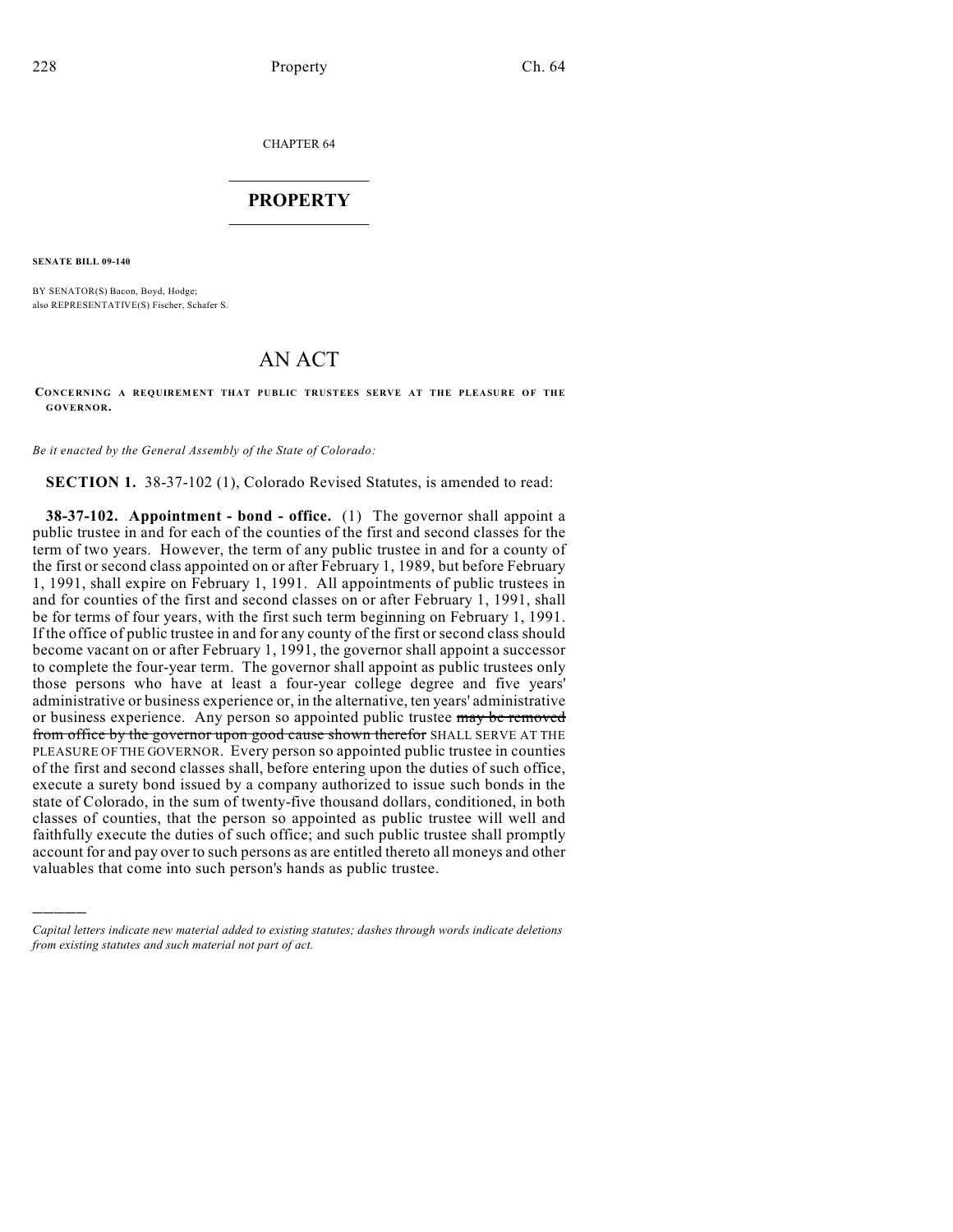CHAPTER 64

## $\overline{\phantom{a}}$  . The set of the set of the set of the set of the set of the set of the set of the set of the set of the set of the set of the set of the set of the set of the set of the set of the set of the set of the set o **PROPERTY**  $\_$   $\_$   $\_$   $\_$   $\_$   $\_$   $\_$   $\_$   $\_$

**SENATE BILL 09-140**

)))))

BY SENATOR(S) Bacon, Boyd, Hodge; also REPRESENTATIVE(S) Fischer, Schafer S.

## AN ACT

## **CONCERNING A REQUIREMENT THAT PUBLIC TRUSTEES SERVE AT THE PLEASURE OF THE GOVERNOR.**

*Be it enacted by the General Assembly of the State of Colorado:*

**SECTION 1.** 38-37-102 (1), Colorado Revised Statutes, is amended to read:

**38-37-102. Appointment - bond - office.** (1) The governor shall appoint a public trustee in and for each of the counties of the first and second classes for the term of two years. However, the term of any public trustee in and for a county of the first or second class appointed on or after February 1, 1989, but before February 1, 1991, shall expire on February 1, 1991. All appointments of public trustees in and for counties of the first and second classes on or after February 1, 1991, shall be for terms of four years, with the first such term beginning on February 1, 1991. If the office of public trustee in and for any county of the first or second class should become vacant on or after February 1, 1991, the governor shall appoint a successor to complete the four-year term. The governor shall appoint as public trustees only those persons who have at least a four-year college degree and five years' administrative or business experience or, in the alternative, ten years' administrative or business experience. Any person so appointed public trustee may be removed from office by the governor upon good cause shown therefor SHALL SERVE AT THE PLEASURE OF THE GOVERNOR. Every person so appointed public trustee in counties of the first and second classes shall, before entering upon the duties of such office, execute a surety bond issued by a company authorized to issue such bonds in the state of Colorado, in the sum of twenty-five thousand dollars, conditioned, in both classes of counties, that the person so appointed as public trustee will well and faithfully execute the duties of such office; and such public trustee shall promptly account for and pay over to such persons as are entitled thereto all moneys and other valuables that come into such person's hands as public trustee.

*Capital letters indicate new material added to existing statutes; dashes through words indicate deletions from existing statutes and such material not part of act.*